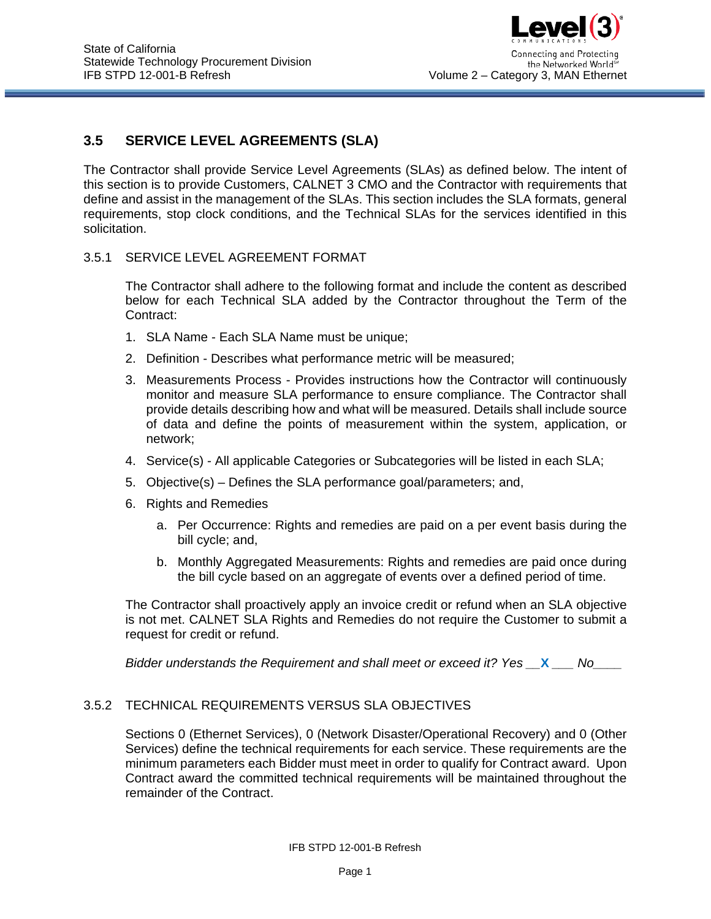# **3.5 SERVICE LEVEL AGREEMENTS (SLA)**

The Contractor shall provide Service Level Agreements (SLAs) as defined below. The intent of this section is to provide Customers, CALNET 3 CMO and the Contractor with requirements that define and assist in the management of the SLAs. This section includes the SLA formats, general requirements, stop clock conditions, and the Technical SLAs for the services identified in this solicitation.

#### 3.5.1 SERVICE LEVEL AGREEMENT FORMAT

The Contractor shall adhere to the following format and include the content as described below for each Technical SLA added by the Contractor throughout the Term of the Contract:

- 1. SLA Name Each SLA Name must be unique;
- 2. Definition Describes what performance metric will be measured;
- 3. Measurements Process Provides instructions how the Contractor will continuously monitor and measure SLA performance to ensure compliance. The Contractor shall provide details describing how and what will be measured. Details shall include source of data and define the points of measurement within the system, application, or network;
- 4. Service(s) All applicable Categories or Subcategories will be listed in each SLA;
- 5. Objective(s) Defines the SLA performance goal/parameters; and,
- 6. Rights and Remedies
	- a. Per Occurrence: Rights and remedies are paid on a per event basis during the bill cycle; and,
	- b. Monthly Aggregated Measurements: Rights and remedies are paid once during the bill cycle based on an aggregate of events over a defined period of time.

The Contractor shall proactively apply an invoice credit or refund when an SLA objective is not met. CALNET SLA Rights and Remedies do not require the Customer to submit a request for credit or refund.

*Bidder understands the Requirement and shall meet or exceed it? Yes \_\_***X** *\_\_\_ No\_\_\_\_*

### 3.5.2 TECHNICAL REQUIREMENTS VERSUS SLA OBJECTIVES

Sections 0 (Ethernet Services), 0 (Network Disaster/Operational Recovery) and 0 (Other Services) define the technical requirements for each service. These requirements are the minimum parameters each Bidder must meet in order to qualify for Contract award. Upon Contract award the committed technical requirements will be maintained throughout the remainder of the Contract.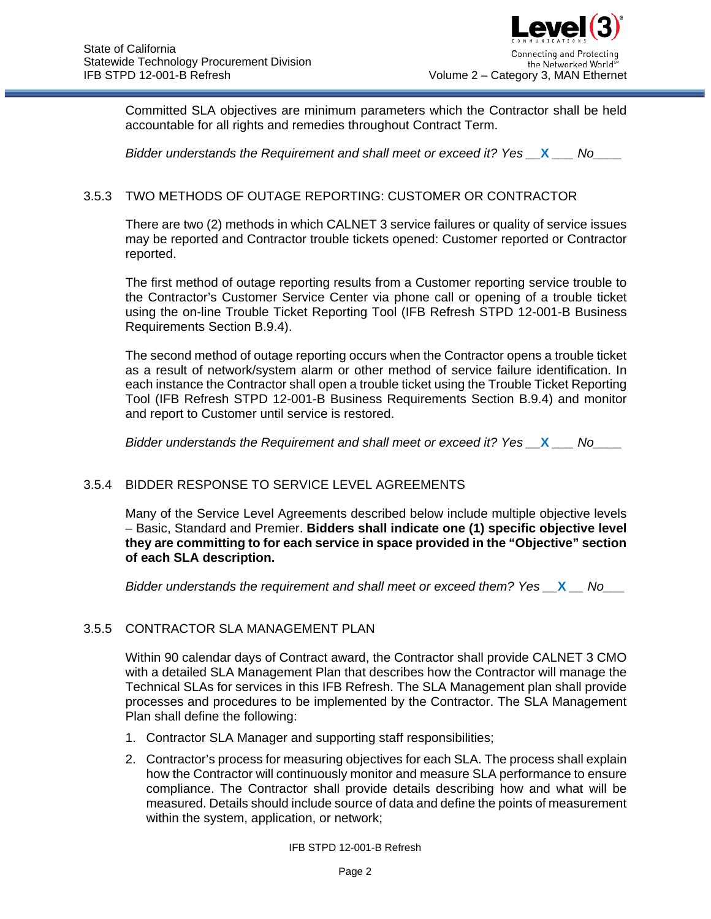Committed SLA objectives are minimum parameters which the Contractor shall be held accountable for all rights and remedies throughout Contract Term.

*Bidder understands the Requirement and shall meet or exceed it? Yes \_\_***X** *\_\_\_ No\_\_\_\_*

# 3.5.3 TWO METHODS OF OUTAGE REPORTING: CUSTOMER OR CONTRACTOR

There are two (2) methods in which CALNET 3 service failures or quality of service issues may be reported and Contractor trouble tickets opened: Customer reported or Contractor reported.

The first method of outage reporting results from a Customer reporting service trouble to the Contractor's Customer Service Center via phone call or opening of a trouble ticket using the on-line Trouble Ticket Reporting Tool (IFB Refresh STPD 12-001-B Business Requirements Section B.9.4).

The second method of outage reporting occurs when the Contractor opens a trouble ticket as a result of network/system alarm or other method of service failure identification. In each instance the Contractor shall open a trouble ticket using the Trouble Ticket Reporting Tool (IFB Refresh STPD 12-001-B Business Requirements Section B.9.4) and monitor and report to Customer until service is restored.

*Bidder understands the Requirement and shall meet or exceed it? Yes \_\_***X** *\_\_\_ No\_\_\_\_*

### 3.5.4 BIDDER RESPONSE TO SERVICE LEVEL AGREEMENTS

Many of the Service Level Agreements described below include multiple objective levels – Basic, Standard and Premier. **Bidders shall indicate one (1) specific objective level they are committing to for each service in space provided in the "Objective" section of each SLA description.**

*Bidder understands the requirement and shall meet or exceed them? Yes \_\_***X** *\_\_ No\_\_\_*

### 3.5.5 CONTRACTOR SLA MANAGEMENT PLAN

Within 90 calendar days of Contract award, the Contractor shall provide CALNET 3 CMO with a detailed SLA Management Plan that describes how the Contractor will manage the Technical SLAs for services in this IFB Refresh. The SLA Management plan shall provide processes and procedures to be implemented by the Contractor. The SLA Management Plan shall define the following:

- 1. Contractor SLA Manager and supporting staff responsibilities;
- 2. Contractor's process for measuring objectives for each SLA. The process shall explain how the Contractor will continuously monitor and measure SLA performance to ensure compliance. The Contractor shall provide details describing how and what will be measured. Details should include source of data and define the points of measurement within the system, application, or network;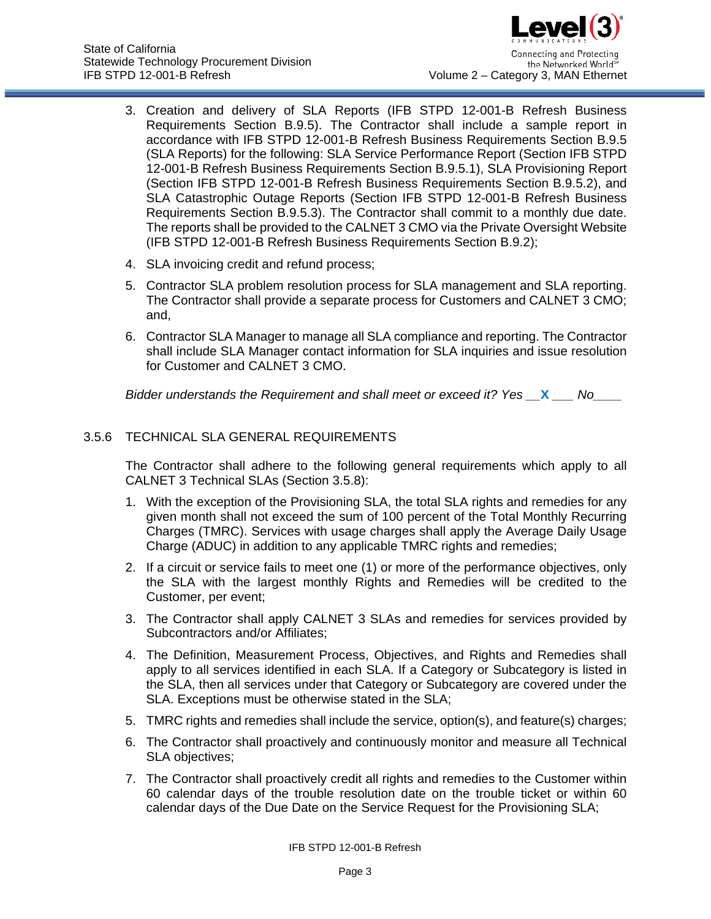- 3. Creation and delivery of SLA Reports (IFB STPD 12-001-B Refresh Business Requirements Section B.9.5). The Contractor shall include a sample report in accordance with IFB STPD 12-001-B Refresh Business Requirements Section B.9.5 (SLA Reports) for the following: SLA Service Performance Report (Section IFB STPD 12-001-B Refresh Business Requirements Section B.9.5.1), SLA Provisioning Report (Section IFB STPD 12-001-B Refresh Business Requirements Section B.9.5.2), and SLA Catastrophic Outage Reports (Section IFB STPD 12-001-B Refresh Business Requirements Section B.9.5.3). The Contractor shall commit to a monthly due date. The reports shall be provided to the CALNET 3 CMO via the Private Oversight Website (IFB STPD 12-001-B Refresh Business Requirements Section B.9.2);
- 4. SLA invoicing credit and refund process;
- 5. Contractor SLA problem resolution process for SLA management and SLA reporting. The Contractor shall provide a separate process for Customers and CALNET 3 CMO; and,
- 6. Contractor SLA Manager to manage all SLA compliance and reporting. The Contractor shall include SLA Manager contact information for SLA inquiries and issue resolution for Customer and CALNET 3 CMO.

# 3.5.6 TECHNICAL SLA GENERAL REQUIREMENTS

The Contractor shall adhere to the following general requirements which apply to all CALNET 3 Technical SLAs (Section [3.5.8\)](#page-7-0):

- 1. With the exception of the Provisioning SLA, the total SLA rights and remedies for any given month shall not exceed the sum of 100 percent of the Total Monthly Recurring Charges (TMRC). Services with usage charges shall apply the Average Daily Usage Charge (ADUC) in addition to any applicable TMRC rights and remedies;
- 2. If a circuit or service fails to meet one (1) or more of the performance objectives, only the SLA with the largest monthly Rights and Remedies will be credited to the Customer, per event;
- 3. The Contractor shall apply CALNET 3 SLAs and remedies for services provided by Subcontractors and/or Affiliates;
- 4. The Definition, Measurement Process, Objectives, and Rights and Remedies shall apply to all services identified in each SLA. If a Category or Subcategory is listed in the SLA, then all services under that Category or Subcategory are covered under the SLA. Exceptions must be otherwise stated in the SLA;
- 5. TMRC rights and remedies shall include the service, option(s), and feature(s) charges;
- 6. The Contractor shall proactively and continuously monitor and measure all Technical SLA objectives;
- 7. The Contractor shall proactively credit all rights and remedies to the Customer within 60 calendar days of the trouble resolution date on the trouble ticket or within 60 calendar days of the Due Date on the Service Request for the Provisioning SLA;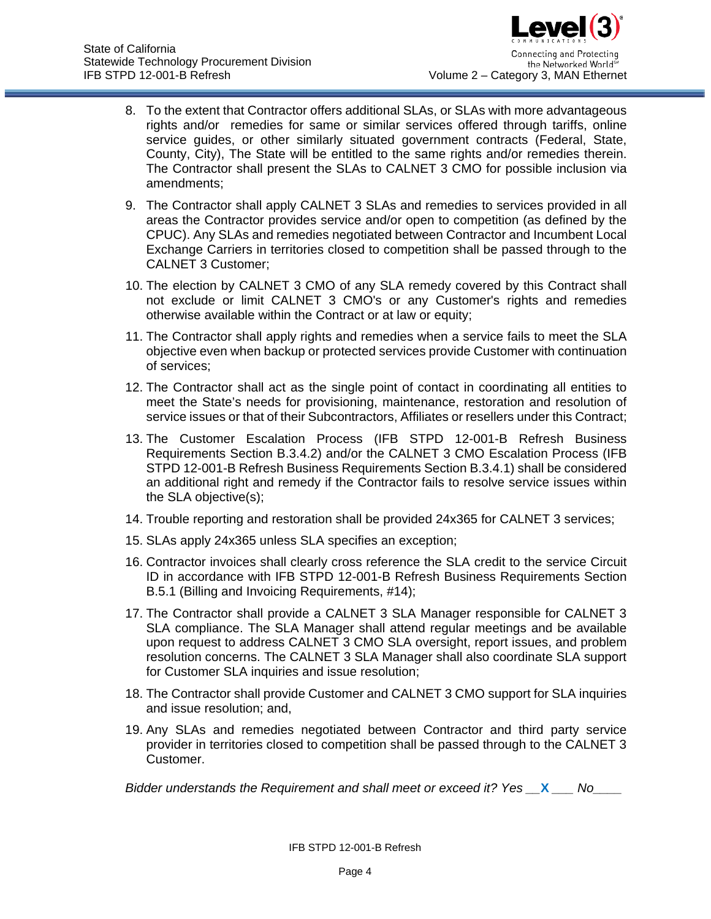- 8. To the extent that Contractor offers additional SLAs, or SLAs with more advantageous rights and/or remedies for same or similar services offered through tariffs, online service guides, or other similarly situated government contracts (Federal, State, County, City), The State will be entitled to the same rights and/or remedies therein. The Contractor shall present the SLAs to CALNET 3 CMO for possible inclusion via amendments;
- 9. The Contractor shall apply CALNET 3 SLAs and remedies to services provided in all areas the Contractor provides service and/or open to competition (as defined by the CPUC). Any SLAs and remedies negotiated between Contractor and Incumbent Local Exchange Carriers in territories closed to competition shall be passed through to the CALNET 3 Customer;
- 10. The election by CALNET 3 CMO of any SLA remedy covered by this Contract shall not exclude or limit CALNET 3 CMO's or any Customer's rights and remedies otherwise available within the Contract or at law or equity;
- 11. The Contractor shall apply rights and remedies when a service fails to meet the SLA objective even when backup or protected services provide Customer with continuation of services;
- 12. The Contractor shall act as the single point of contact in coordinating all entities to meet the State's needs for provisioning, maintenance, restoration and resolution of service issues or that of their Subcontractors, Affiliates or resellers under this Contract;
- 13. The Customer Escalation Process (IFB STPD 12-001-B Refresh Business Requirements Section B.3.4.2) and/or the CALNET 3 CMO Escalation Process (IFB STPD 12-001-B Refresh Business Requirements Section B.3.4.1) shall be considered an additional right and remedy if the Contractor fails to resolve service issues within the SLA objective(s);
- 14. Trouble reporting and restoration shall be provided 24x365 for CALNET 3 services;
- 15. SLAs apply 24x365 unless SLA specifies an exception;
- 16. Contractor invoices shall clearly cross reference the SLA credit to the service Circuit ID in accordance with IFB STPD 12-001-B Refresh Business Requirements Section B.5.1 (Billing and Invoicing Requirements, #14);
- 17. The Contractor shall provide a CALNET 3 SLA Manager responsible for CALNET 3 SLA compliance. The SLA Manager shall attend regular meetings and be available upon request to address CALNET 3 CMO SLA oversight, report issues, and problem resolution concerns. The CALNET 3 SLA Manager shall also coordinate SLA support for Customer SLA inquiries and issue resolution;
- 18. The Contractor shall provide Customer and CALNET 3 CMO support for SLA inquiries and issue resolution; and,
- 19. Any SLAs and remedies negotiated between Contractor and third party service provider in territories closed to competition shall be passed through to the CALNET 3 Customer.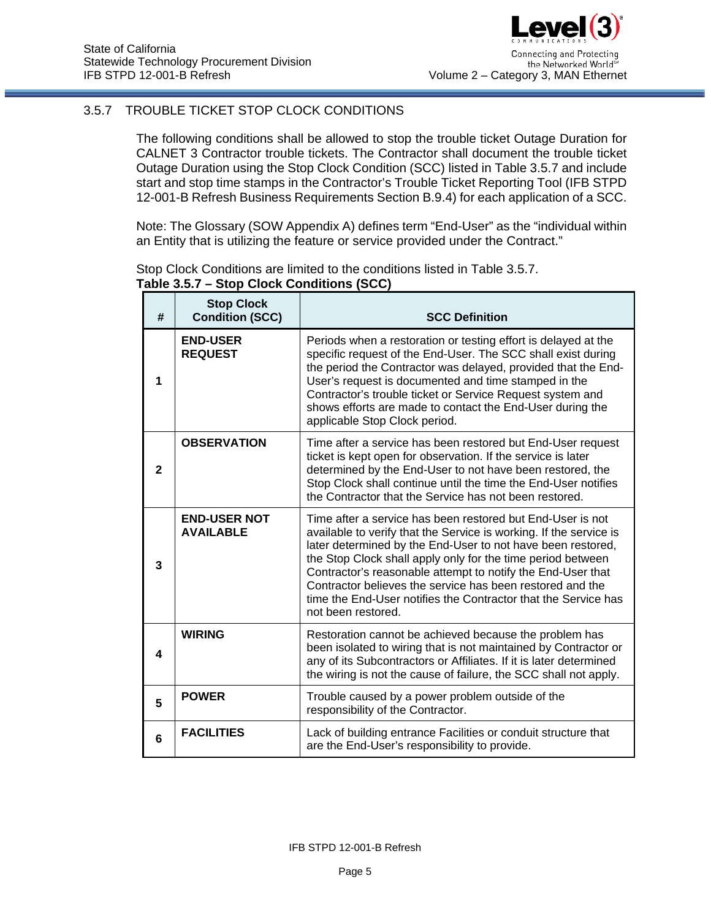# <span id="page-4-0"></span>3.5.7 TROUBLE TICKET STOP CLOCK CONDITIONS

The following conditions shall be allowed to stop the trouble ticket Outage Duration for CALNET 3 Contractor trouble tickets. The Contractor shall document the trouble ticket Outage Duration using the Stop Clock Condition (SCC) listed in Table [3.5.7](#page-4-0) and include start and stop time stamps in the Contractor's Trouble Ticket Reporting Tool (IFB STPD 12-001-B Refresh Business Requirements Section B.9.4) for each application of a SCC.

Note: The Glossary (SOW Appendix A) defines term "End-User" as the "individual within an Entity that is utilizing the feature or service provided under the Contract."

Stop Clock Conditions are limited to the conditions listed in Table [3.5.7.](#page-4-0) **Table [3.5.7](#page-4-0) – Stop Clock Conditions (SCC)**

| #            | <b>Stop Clock</b><br><b>Condition (SCC)</b> | <b>SCC Definition</b>                                                                                                                                                                                                                                                                                                                                                                                                                                                              |
|--------------|---------------------------------------------|------------------------------------------------------------------------------------------------------------------------------------------------------------------------------------------------------------------------------------------------------------------------------------------------------------------------------------------------------------------------------------------------------------------------------------------------------------------------------------|
| 1            | <b>END-USER</b><br><b>REQUEST</b>           | Periods when a restoration or testing effort is delayed at the<br>specific request of the End-User. The SCC shall exist during<br>the period the Contractor was delayed, provided that the End-<br>User's request is documented and time stamped in the<br>Contractor's trouble ticket or Service Request system and<br>shows efforts are made to contact the End-User during the<br>applicable Stop Clock period.                                                                 |
| $\mathbf{2}$ | <b>OBSERVATION</b>                          | Time after a service has been restored but End-User request<br>ticket is kept open for observation. If the service is later<br>determined by the End-User to not have been restored, the<br>Stop Clock shall continue until the time the End-User notifies<br>the Contractor that the Service has not been restored.                                                                                                                                                               |
| 3            | <b>END-USER NOT</b><br><b>AVAILABLE</b>     | Time after a service has been restored but End-User is not<br>available to verify that the Service is working. If the service is<br>later determined by the End-User to not have been restored,<br>the Stop Clock shall apply only for the time period between<br>Contractor's reasonable attempt to notify the End-User that<br>Contractor believes the service has been restored and the<br>time the End-User notifies the Contractor that the Service has<br>not been restored. |
| 4            | <b>WIRING</b>                               | Restoration cannot be achieved because the problem has<br>been isolated to wiring that is not maintained by Contractor or<br>any of its Subcontractors or Affiliates. If it is later determined<br>the wiring is not the cause of failure, the SCC shall not apply.                                                                                                                                                                                                                |
| 5            | <b>POWER</b>                                | Trouble caused by a power problem outside of the<br>responsibility of the Contractor.                                                                                                                                                                                                                                                                                                                                                                                              |
| 6            | <b>FACILITIES</b>                           | Lack of building entrance Facilities or conduit structure that<br>are the End-User's responsibility to provide.                                                                                                                                                                                                                                                                                                                                                                    |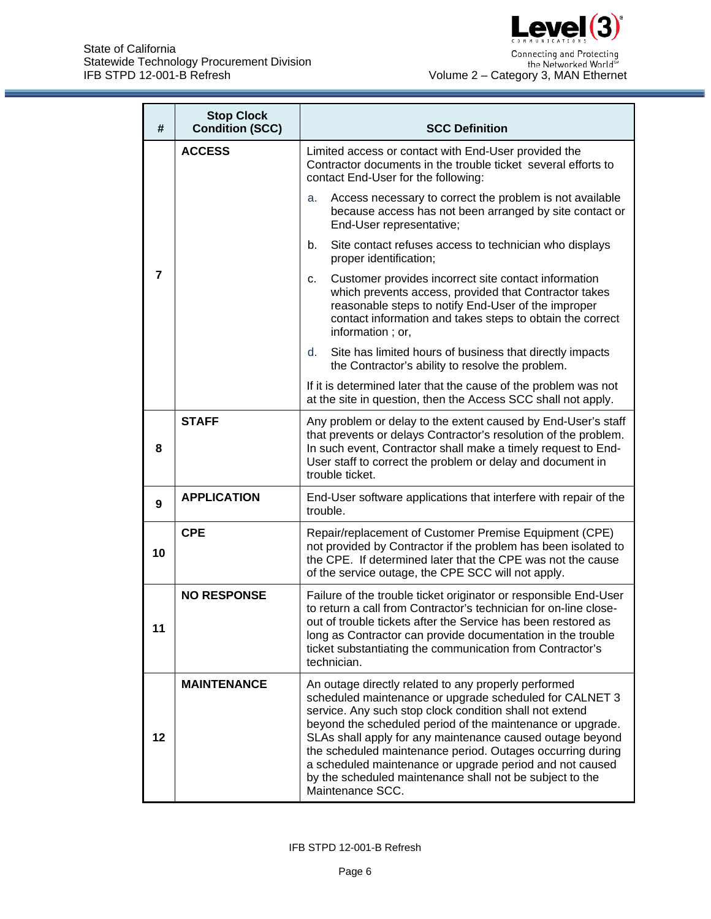

| #                | <b>Stop Clock</b><br><b>Condition (SCC)</b> | <b>SCC Definition</b>                                                                                                                                                                                                                                                                                                                                                                                                                                                                                           |  |  |  |  |  |
|------------------|---------------------------------------------|-----------------------------------------------------------------------------------------------------------------------------------------------------------------------------------------------------------------------------------------------------------------------------------------------------------------------------------------------------------------------------------------------------------------------------------------------------------------------------------------------------------------|--|--|--|--|--|
|                  | <b>ACCESS</b>                               | Limited access or contact with End-User provided the<br>Contractor documents in the trouble ticket several efforts to<br>contact End-User for the following:                                                                                                                                                                                                                                                                                                                                                    |  |  |  |  |  |
|                  |                                             | Access necessary to correct the problem is not available<br>a.<br>because access has not been arranged by site contact or<br>End-User representative;                                                                                                                                                                                                                                                                                                                                                           |  |  |  |  |  |
|                  |                                             | Site contact refuses access to technician who displays<br>b.<br>proper identification;                                                                                                                                                                                                                                                                                                                                                                                                                          |  |  |  |  |  |
| $\overline{7}$   |                                             | Customer provides incorrect site contact information<br>с.<br>which prevents access, provided that Contractor takes<br>reasonable steps to notify End-User of the improper<br>contact information and takes steps to obtain the correct<br>information; or,                                                                                                                                                                                                                                                     |  |  |  |  |  |
|                  |                                             | Site has limited hours of business that directly impacts<br>d.<br>the Contractor's ability to resolve the problem.                                                                                                                                                                                                                                                                                                                                                                                              |  |  |  |  |  |
|                  |                                             | If it is determined later that the cause of the problem was not<br>at the site in question, then the Access SCC shall not apply.                                                                                                                                                                                                                                                                                                                                                                                |  |  |  |  |  |
| 8                | <b>STAFF</b>                                | Any problem or delay to the extent caused by End-User's staff<br>that prevents or delays Contractor's resolution of the problem.<br>In such event, Contractor shall make a timely request to End-<br>User staff to correct the problem or delay and document in<br>trouble ticket.                                                                                                                                                                                                                              |  |  |  |  |  |
| $\boldsymbol{9}$ | <b>APPLICATION</b>                          | End-User software applications that interfere with repair of the<br>trouble.                                                                                                                                                                                                                                                                                                                                                                                                                                    |  |  |  |  |  |
| 10               | <b>CPE</b>                                  | Repair/replacement of Customer Premise Equipment (CPE)<br>not provided by Contractor if the problem has been isolated to<br>the CPE. If determined later that the CPE was not the cause<br>of the service outage, the CPE SCC will not apply.                                                                                                                                                                                                                                                                   |  |  |  |  |  |
| 11               | <b>NO RESPONSE</b>                          | Failure of the trouble ticket originator or responsible End-User<br>to return a call from Contractor's technician for on-line close-<br>out of trouble tickets after the Service has been restored as<br>long as Contractor can provide documentation in the trouble<br>ticket substantiating the communication from Contractor's<br>technician.                                                                                                                                                                |  |  |  |  |  |
| 12               | <b>MAINTENANCE</b>                          | An outage directly related to any properly performed<br>scheduled maintenance or upgrade scheduled for CALNET 3<br>service. Any such stop clock condition shall not extend<br>beyond the scheduled period of the maintenance or upgrade.<br>SLAs shall apply for any maintenance caused outage beyond<br>the scheduled maintenance period. Outages occurring during<br>a scheduled maintenance or upgrade period and not caused<br>by the scheduled maintenance shall not be subject to the<br>Maintenance SCC. |  |  |  |  |  |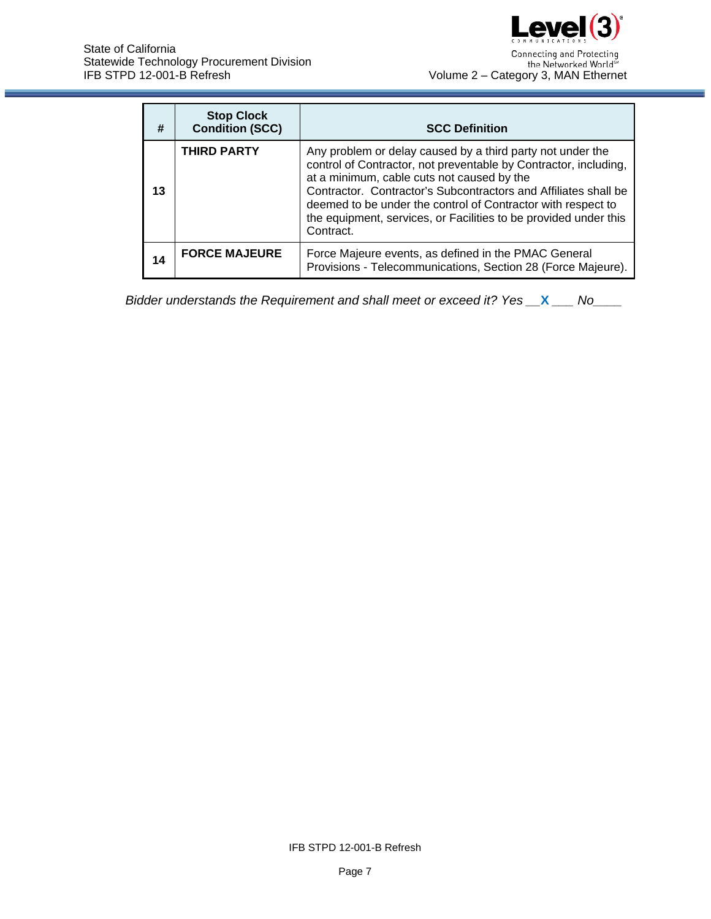

| #  | <b>Stop Clock</b><br><b>Condition (SCC)</b> | <b>SCC Definition</b>                                                                                                                                                                                                                                                                                                                                                                            |
|----|---------------------------------------------|--------------------------------------------------------------------------------------------------------------------------------------------------------------------------------------------------------------------------------------------------------------------------------------------------------------------------------------------------------------------------------------------------|
| 13 | <b>THIRD PARTY</b>                          | Any problem or delay caused by a third party not under the<br>control of Contractor, not preventable by Contractor, including,<br>at a minimum, cable cuts not caused by the<br>Contractor. Contractor's Subcontractors and Affiliates shall be<br>deemed to be under the control of Contractor with respect to<br>the equipment, services, or Facilities to be provided under this<br>Contract. |
| 14 | <b>FORCE MAJEURE</b>                        | Force Majeure events, as defined in the PMAC General<br>Provisions - Telecommunications, Section 28 (Force Majeure).                                                                                                                                                                                                                                                                             |

IFB STPD 12-001-B Refresh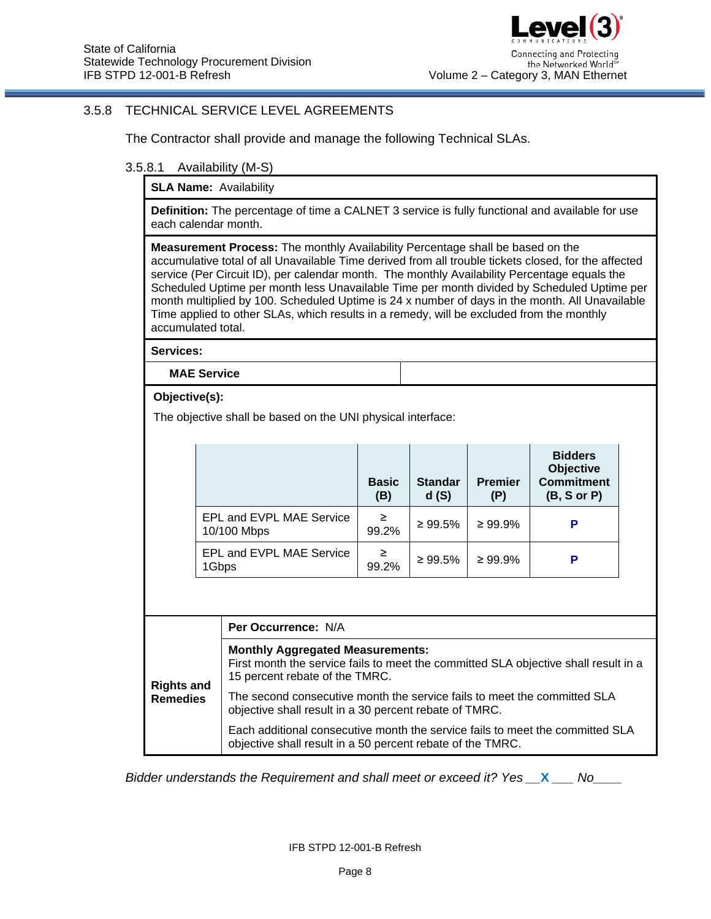### <span id="page-7-0"></span>3.5.8 TECHNICAL SERVICE LEVEL AGREEMENTS

The Contractor shall provide and manage the following Technical SLAs.

#### 3.5.8.1 Availability (M-S)

**SLA Name:** Availability

**Definition:** The percentage of time a CALNET 3 service is fully functional and available for use each calendar month.

**Measurement Process:** The monthly Availability Percentage shall be based on the accumulative total of all Unavailable Time derived from all trouble tickets closed, for the affected service (Per Circuit ID), per calendar month. The monthly Availability Percentage equals the Scheduled Uptime per month less Unavailable Time per month divided by Scheduled Uptime per month multiplied by 100. Scheduled Uptime is 24 x number of days in the month. All Unavailable Time applied to other SLAs, which results in a remedy, will be excluded from the monthly accumulated total.

**Services:**

**MAE Service**

**Objective(s):**

The objective shall be based on the UNI physical interface:

|                                         | <b>Basic</b><br>(B) | <b>Standar</b><br>d(S) | <b>Premier</b><br>(P) | <b>Bidders</b><br><b>Objective</b><br><b>Commitment</b><br>(B, S or P) |
|-----------------------------------------|---------------------|------------------------|-----------------------|------------------------------------------------------------------------|
| EPL and EVPL MAE Service<br>10/100 Mbps | ≥<br>99.2%          | $\geq 99.5\%$          | $\geq 99.9\%$         |                                                                        |
| EPL and EVPL MAE Service<br>1Gbps       | ≥<br>99.2%          | $\geq 99.5\%$          | $\geq 99.9\%$         | Р                                                                      |

|                   | <b>Per Occurrence: N/A</b>                                                                                                                                       |
|-------------------|------------------------------------------------------------------------------------------------------------------------------------------------------------------|
| <b>Rights and</b> | <b>Monthly Aggregated Measurements:</b><br>First month the service fails to meet the committed SLA objective shall result in a<br>15 percent rebate of the TMRC. |
| <b>Remedies</b>   | The second consecutive month the service fails to meet the committed SLA<br>objective shall result in a 30 percent rebate of TMRC.                               |
|                   | Each additional consecutive month the service fails to meet the committed SLA<br>objective shall result in a 50 percent rebate of the TMRC.                      |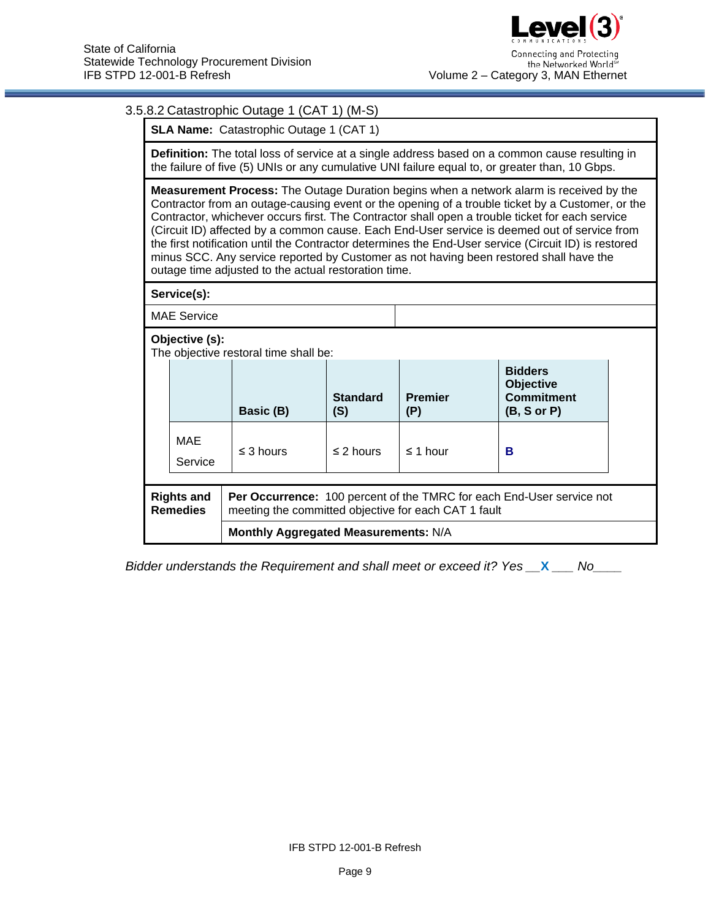# 3.5.8.2 Catastrophic Outage 1 (CAT 1) (M-S)

**SLA Name: Catastrophic Outage 1 (CAT 1)** 

**Definition:** The total loss of service at a single address based on a common cause resulting in the failure of five (5) UNIs or any cumulative UNI failure equal to, or greater than, 10 Gbps.

**Measurement Process:** The Outage Duration begins when a network alarm is received by the Contractor from an outage-causing event or the opening of a trouble ticket by a Customer, or the Contractor, whichever occurs first. The Contractor shall open a trouble ticket for each service (Circuit ID) affected by a common cause. Each End-User service is deemed out of service from the first notification until the Contractor determines the End-User service (Circuit ID) is restored minus SCC. Any service reported by Customer as not having been restored shall have the outage time adjusted to the actual restoration time.

**Service(s):** 

MAE Service

**Objective (s):** 

The objective restoral time shall be:

|                                      | THE ODIECTIVE TESIONAL INTERSTIAN DE. |                                                                                                                                      |                        |                       |                                                                                   |  |  |  |  |
|--------------------------------------|---------------------------------------|--------------------------------------------------------------------------------------------------------------------------------------|------------------------|-----------------------|-----------------------------------------------------------------------------------|--|--|--|--|
|                                      |                                       | Basic (B)                                                                                                                            | <b>Standard</b><br>(S) | <b>Premier</b><br>(P) | <b>Bidders</b><br><b>Objective</b><br><b>Commitment</b><br>$(B, S \text{ or } P)$ |  |  |  |  |
|                                      | MAE<br>Service                        | $\leq$ 3 hours                                                                                                                       | $\leq$ 2 hours         | $\leq$ 1 hour         | в                                                                                 |  |  |  |  |
| <b>Rights and</b><br><b>Remedies</b> |                                       | <b>Per Occurrence:</b> 100 percent of the TMRC for each End-User service not<br>meeting the committed objective for each CAT 1 fault |                        |                       |                                                                                   |  |  |  |  |
|                                      |                                       | Monthly Aggregated Measurements: N/A                                                                                                 |                        |                       |                                                                                   |  |  |  |  |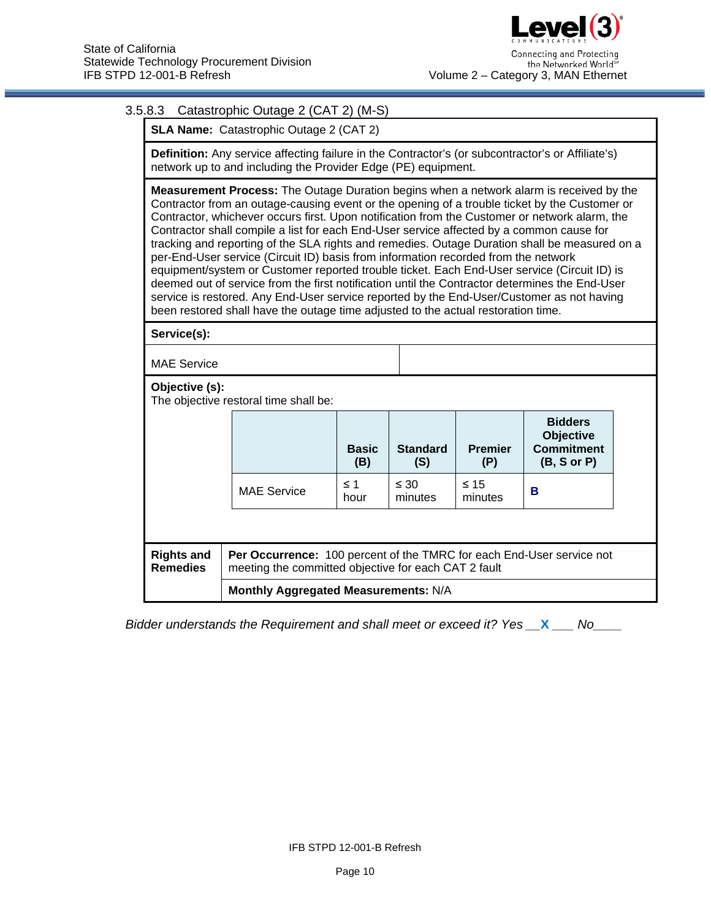# 3.5.8.3 Catastrophic Outage 2 (CAT 2) (M-S)

**SLA Name:** Catastrophic Outage 2 (CAT 2)

**Definition:** Any service affecting failure in the Contractor's (or subcontractor's or Affiliate's) network up to and including the Provider Edge (PE) equipment.

**Measurement Process:** The Outage Duration begins when a network alarm is received by the Contractor from an outage-causing event or the opening of a trouble ticket by the Customer or Contractor, whichever occurs first. Upon notification from the Customer or network alarm, the Contractor shall compile a list for each End-User service affected by a common cause for tracking and reporting of the SLA rights and remedies. Outage Duration shall be measured on a per-End-User service (Circuit ID) basis from information recorded from the network equipment/system or Customer reported trouble ticket. Each End-User service (Circuit ID) is deemed out of service from the first notification until the Contractor determines the End-User service is restored. Any End-User service reported by the End-User/Customer as not having been restored shall have the outage time adjusted to the actual restoration time.

**Service(s):**

MAE Service

**Objective (s):** 

The objective restoral time shall be:

|                               |                                                                                                                               | <b>Basic</b><br>(B) | <b>Standard</b><br>(S) | <b>Premier</b><br>(P) | <b>Bidders</b><br><b>Objective</b><br><b>Commitment</b><br>$(B, S \text{ or } P)$ |  |  |
|-------------------------------|-------------------------------------------------------------------------------------------------------------------------------|---------------------|------------------------|-----------------------|-----------------------------------------------------------------------------------|--|--|
|                               | <b>MAE Service</b>                                                                                                            | $\leq$ 1<br>hour    | $\leq 30$<br>minutes   | $\leq 15$<br>minutes  | в                                                                                 |  |  |
|                               |                                                                                                                               |                     |                        |                       |                                                                                   |  |  |
| <b>Rights and</b><br>Remedies | Per Occurrence: 100 percent of the TMRC for each End-User service not<br>meeting the committed objective for each CAT 2 fault |                     |                        |                       |                                                                                   |  |  |
|                               | Monthly Aggregated Measurements: N/A                                                                                          |                     |                        |                       |                                                                                   |  |  |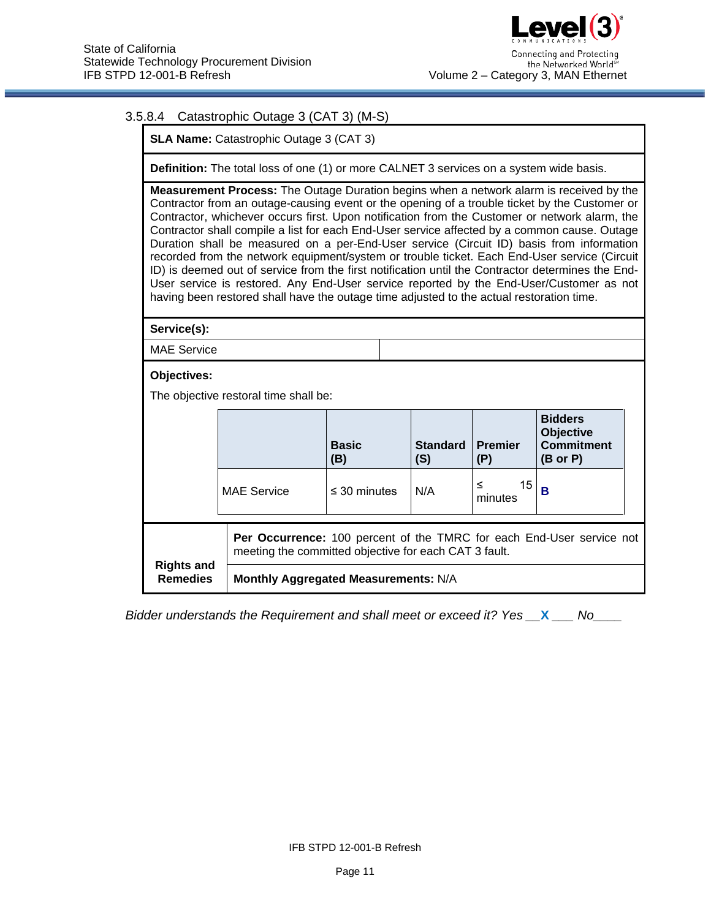### 3.5.8.4 Catastrophic Outage 3 (CAT 3) (M-S)

**SLA Name:** Catastrophic Outage 3 (CAT 3)

**Definition:** The total loss of one (1) or more CALNET 3 services on a system wide basis.

**Measurement Process:** The Outage Duration begins when a network alarm is received by the Contractor from an outage-causing event or the opening of a trouble ticket by the Customer or Contractor, whichever occurs first. Upon notification from the Customer or network alarm, the Contractor shall compile a list for each End-User service affected by a common cause. Outage Duration shall be measured on a per-End-User service (Circuit ID) basis from information recorded from the network equipment/system or trouble ticket. Each End-User service (Circuit ID) is deemed out of service from the first notification until the Contractor determines the End-User service is restored. Any End-User service reported by the End-User/Customer as not having been restored shall have the outage time adjusted to the actual restoration time.

**Service(s):**

MAE Service

#### **Objectives:**

The objective restoral time shall be:

|                                      |                                                                                                                                | <b>Basic</b><br>(B) | <b>Standard</b><br>(S) | <b>Premier</b><br>(P) | <b>Bidders</b><br><b>Objective</b><br><b>Commitment</b><br>$(B \text{ or } P)$ |  |  |
|--------------------------------------|--------------------------------------------------------------------------------------------------------------------------------|---------------------|------------------------|-----------------------|--------------------------------------------------------------------------------|--|--|
|                                      | <b>MAE Service</b>                                                                                                             | $\leq$ 30 minutes   | N/A                    | 15<br>≤<br>minutes    | в                                                                              |  |  |
|                                      | Per Occurrence: 100 percent of the TMRC for each End-User service not<br>meeting the committed objective for each CAT 3 fault. |                     |                        |                       |                                                                                |  |  |
| <b>Rights and</b><br><b>Remedies</b> | Monthly Aggregated Measurements: N/A                                                                                           |                     |                        |                       |                                                                                |  |  |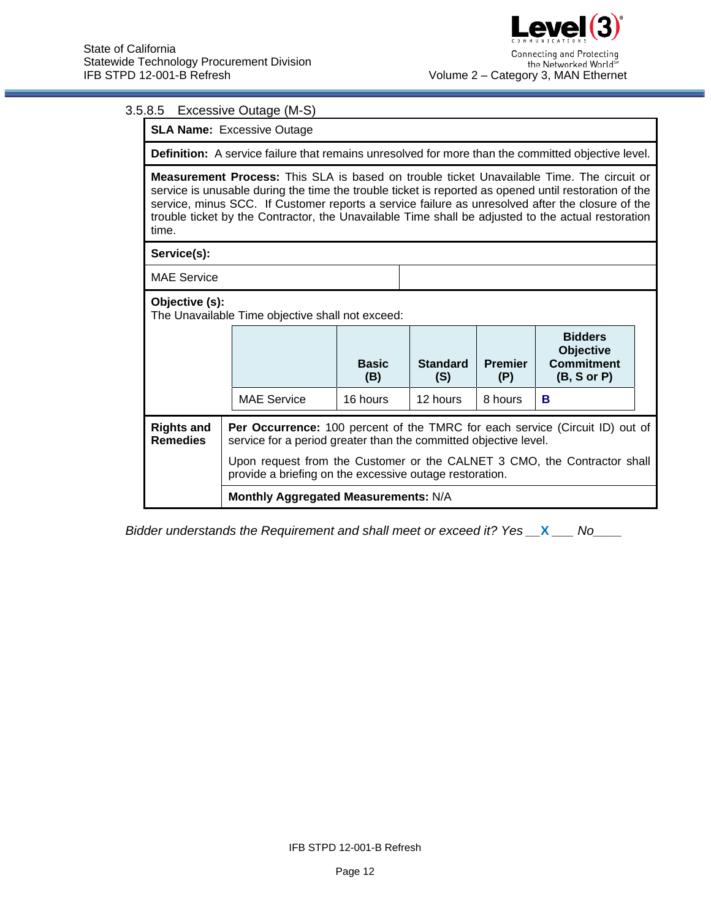### 3.5.8.5 Excessive Outage (M-S)

**SLA Name:** Excessive Outage

**Definition:** A service failure that remains unresolved for more than the committed objective level.

**Measurement Process:** This SLA is based on trouble ticket Unavailable Time. The circuit or service is unusable during the time the trouble ticket is reported as opened until restoration of the service, minus SCC. If Customer reports a service failure as unresolved after the closure of the trouble ticket by the Contractor, the Unavailable Time shall be adjusted to the actual restoration time.

**Service(s):**

MAE Service

#### **Objective (s):**

The Unavailable Time objective shall not exceed:

| THE UNderlight Time objective shall not exected.                                                                                                                                                                                                                     |  |                                                         |                     |                        |                                                                                                 |   |  |  |
|----------------------------------------------------------------------------------------------------------------------------------------------------------------------------------------------------------------------------------------------------------------------|--|---------------------------------------------------------|---------------------|------------------------|-------------------------------------------------------------------------------------------------|---|--|--|
|                                                                                                                                                                                                                                                                      |  |                                                         | <b>Basic</b><br>(B) | <b>Standard</b><br>(S) | <b>Bidders</b><br><b>Objective</b><br><b>Commitment</b><br><b>Premier</b><br>(B, S or P)<br>(P) |   |  |  |
|                                                                                                                                                                                                                                                                      |  | <b>MAE Service</b>                                      | 16 hours            | 12 hours               | 8 hours                                                                                         | в |  |  |
| <b>Rights and</b><br>Per Occurrence: 100 percent of the TMRC for each service (Circuit ID) out of<br><b>Remedies</b><br>service for a period greater than the committed objective level.<br>Upon request from the Customer or the CALNET 3 CMO, the Contractor shall |  |                                                         |                     |                        |                                                                                                 |   |  |  |
|                                                                                                                                                                                                                                                                      |  | provide a briefing on the excessive outage restoration. |                     |                        |                                                                                                 |   |  |  |
|                                                                                                                                                                                                                                                                      |  | Monthly Aggregated Measurements: N/A                    |                     |                        |                                                                                                 |   |  |  |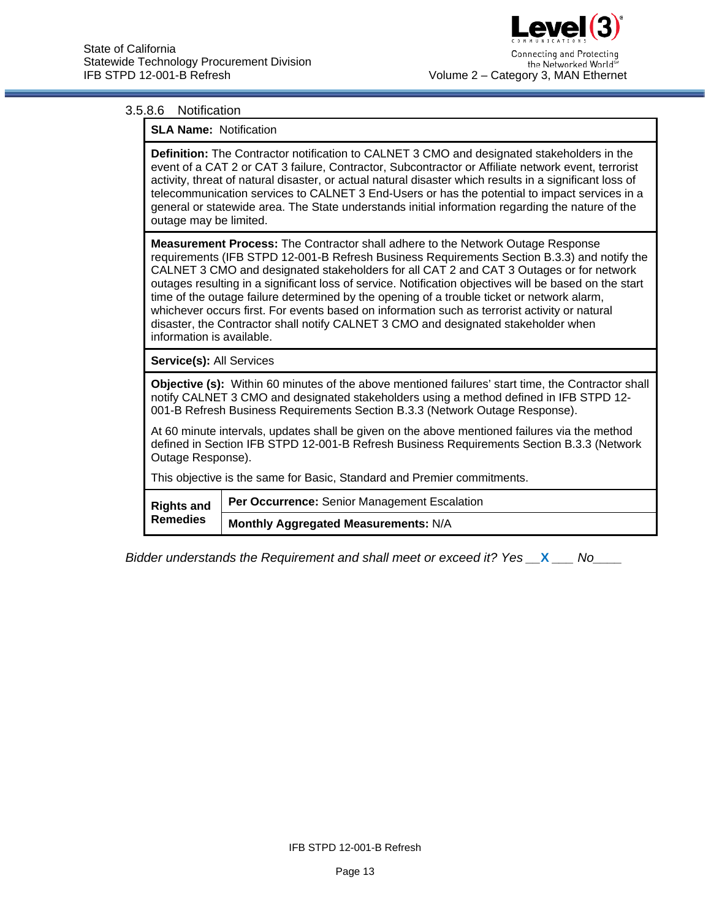# l evel(3 Connecting and Protecting the Networked Worlds Volume 2 – Category 3, MAN Ethernet

#### 3.5.8.6 Notification

**SLA Name:** Notification

**Definition:** The Contractor notification to CALNET 3 CMO and designated stakeholders in the event of a CAT 2 or CAT 3 failure, Contractor, Subcontractor or Affiliate network event, terrorist activity, threat of natural disaster, or actual natural disaster which results in a significant loss of telecommunication services to CALNET 3 End-Users or has the potential to impact services in a general or statewide area. The State understands initial information regarding the nature of the outage may be limited.

**Measurement Process:** The Contractor shall adhere to the Network Outage Response requirements (IFB STPD 12-001-B Refresh Business Requirements Section B.3.3) and notify the CALNET 3 CMO and designated stakeholders for all CAT 2 and CAT 3 Outages or for network outages resulting in a significant loss of service. Notification objectives will be based on the start time of the outage failure determined by the opening of a trouble ticket or network alarm, whichever occurs first. For events based on information such as terrorist activity or natural disaster, the Contractor shall notify CALNET 3 CMO and designated stakeholder when information is available.

**Service(s):** All Services

**Objective (s):** Within 60 minutes of the above mentioned failures' start time, the Contractor shall notify CALNET 3 CMO and designated stakeholders using a method defined in IFB STPD 12- 001-B Refresh Business Requirements Section B.3.3 (Network Outage Response).

At 60 minute intervals, updates shall be given on the above mentioned failures via the method defined in Section IFB STPD 12-001-B Refresh Business Requirements Section B.3.3 (Network Outage Response).

This objective is the same for Basic, Standard and Premier commitments.

| <b>Remedies</b> | Rights and   Per Occurrence: Senior Management Escalation |
|-----------------|-----------------------------------------------------------|
|                 | Monthly Aggregated Measurements: N/A                      |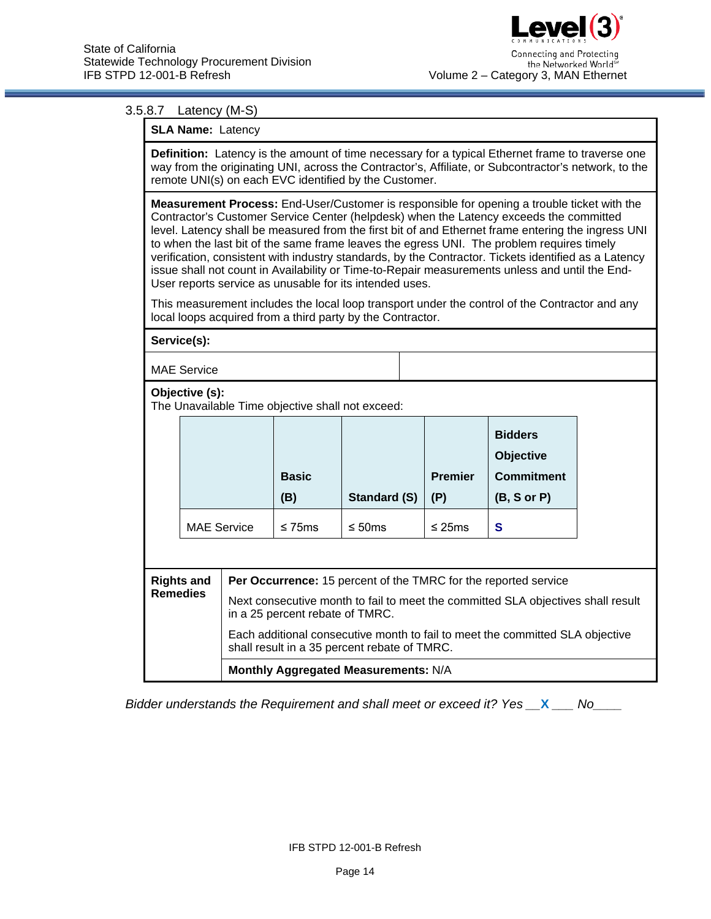#### 3.5.8.7 Latency (M-S)

| <b>SLA Name: Latency</b> |  |
|--------------------------|--|
|--------------------------|--|

**Definition:** Latency is the amount of time necessary for a typical Ethernet frame to traverse one way from the originating UNI, across the Contractor's, Affiliate, or Subcontractor's network, to the remote UNI(s) on each EVC identified by the Customer.

**Measurement Process:** End-User/Customer is responsible for opening a trouble ticket with the Contractor's Customer Service Center (helpdesk) when the Latency exceeds the committed level. Latency shall be measured from the first bit of and Ethernet frame entering the ingress UNI to when the last bit of the same frame leaves the egress UNI. The problem requires timely verification, consistent with industry standards, by the Contractor. Tickets identified as a Latency issue shall not count in Availability or Time-to-Repair measurements unless and until the End-User reports service as unusable for its intended uses.

This measurement includes the local loop transport under the control of the Contractor and any local loops acquired from a third party by the Contractor.

|                                                                    | Service(s):                                                                                                                            |                     |              |                                              |                                                                        |                                                                               |  |  |
|--------------------------------------------------------------------|----------------------------------------------------------------------------------------------------------------------------------------|---------------------|--------------|----------------------------------------------|------------------------------------------------------------------------|-------------------------------------------------------------------------------|--|--|
| <b>MAE</b> Service                                                 |                                                                                                                                        |                     |              |                                              |                                                                        |                                                                               |  |  |
| Objective (s):<br>The Unavailable Time objective shall not exceed: |                                                                                                                                        |                     |              |                                              |                                                                        |                                                                               |  |  |
|                                                                    |                                                                                                                                        | <b>Basic</b><br>(B) | Standard (S) | <b>Premier</b><br>(P)                        | <b>Bidders</b><br><b>Objective</b><br><b>Commitment</b><br>(B, S or P) |                                                                               |  |  |
|                                                                    | <b>MAE Service</b>                                                                                                                     |                     | $\leq$ 75ms  | $\leq 50$ ms                                 | $\leq$ 25ms                                                            | S                                                                             |  |  |
|                                                                    |                                                                                                                                        |                     |              |                                              |                                                                        |                                                                               |  |  |
|                                                                    | <b>Rights and</b>                                                                                                                      |                     |              |                                              |                                                                        | Per Occurrence: 15 percent of the TMRC for the reported service               |  |  |
|                                                                    | <b>Remedies</b><br>Next consecutive month to fail to meet the committed SLA objectives shall result<br>in a 25 percent rebate of TMRC. |                     |              |                                              |                                                                        |                                                                               |  |  |
|                                                                    |                                                                                                                                        |                     |              | shall result in a 35 percent rebate of TMRC. |                                                                        | Each additional consecutive month to fail to meet the committed SLA objective |  |  |
|                                                                    |                                                                                                                                        |                     |              | Monthly Aggregated Measurements: N/A         |                                                                        |                                                                               |  |  |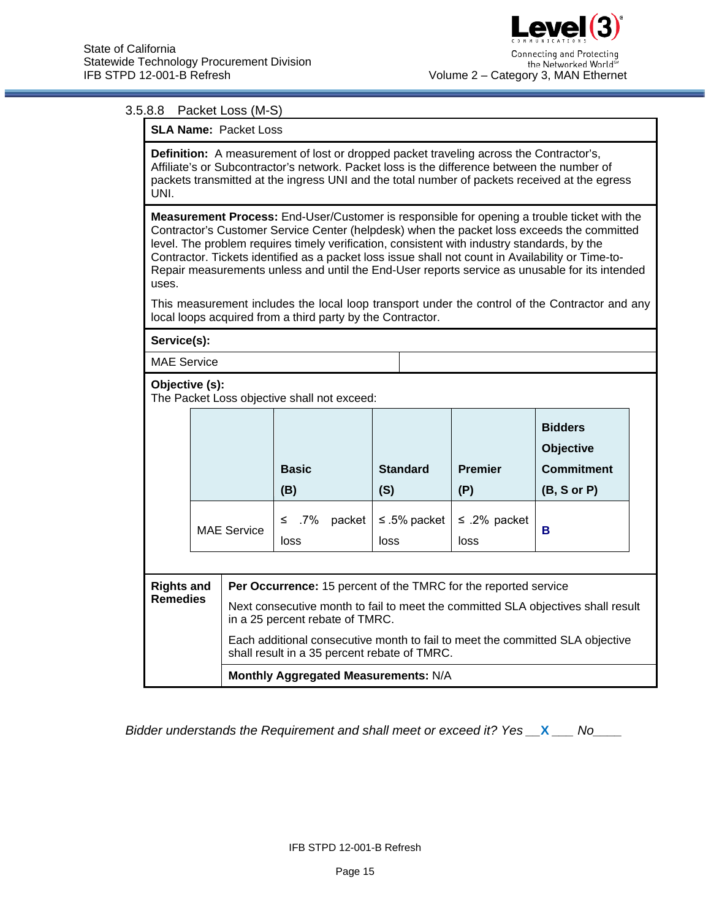### 3.5.8.8 Packet Loss (M-S)

**SLA Name:** Packet Loss

**Definition:** A measurement of lost or dropped packet traveling across the Contractor's, Affiliate's or Subcontractor's network. Packet loss is the difference between the number of packets transmitted at the ingress UNI and the total number of packets received at the egress UNI.

**Measurement Process:** End-User/Customer is responsible for opening a trouble ticket with the Contractor's Customer Service Center (helpdesk) when the packet loss exceeds the committed level. The problem requires timely verification, consistent with industry standards, by the Contractor. Tickets identified as a packet loss issue shall not count in Availability or Time-to-Repair measurements unless and until the End-User reports service as unusable for its intended uses.

This measurement includes the local loop transport under the control of the Contractor and any local loops acquired from a third party by the Contractor.

#### **Service(s):**

MAE Service

#### **Objective (s):**

The Packet Loss objective shall not exceed:

|                                                                                                                               |  |                                                                                                                     | <b>Basic</b><br>(B)                                             | <b>Standard</b><br>(S) | <b>Premier</b><br>(P) | <b>Bidders</b><br><b>Objective</b><br><b>Commitment</b><br>(B, S or P) |  |
|-------------------------------------------------------------------------------------------------------------------------------|--|---------------------------------------------------------------------------------------------------------------------|-----------------------------------------------------------------|------------------------|-----------------------|------------------------------------------------------------------------|--|
| <b>MAE Service</b>                                                                                                            |  |                                                                                                                     | ≤ .7%<br>packet<br>loss                                         | ≤ .5% packet<br>loss   | ≤ .2% packet<br>loss  | в                                                                      |  |
| <b>Rights and</b>                                                                                                             |  |                                                                                                                     | Per Occurrence: 15 percent of the TMRC for the reported service |                        |                       |                                                                        |  |
| <b>Remedies</b>                                                                                                               |  | Next consecutive month to fail to meet the committed SLA objectives shall result<br>in a 25 percent rebate of TMRC. |                                                                 |                        |                       |                                                                        |  |
| Each additional consecutive month to fail to meet the committed SLA objective<br>shall result in a 35 percent rebate of TMRC. |  |                                                                                                                     |                                                                 |                        |                       |                                                                        |  |

**Monthly Aggregated Measurements:** N/A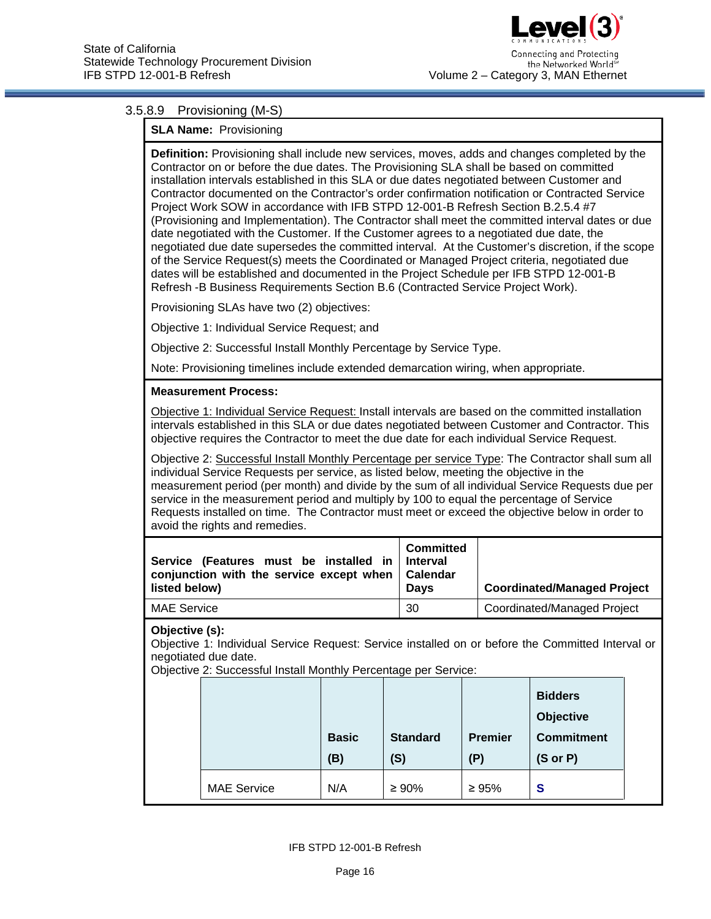

### 3.5.8.9 Provisioning (M-S)

#### **SLA Name:** Provisioning

**Definition:** Provisioning shall include new services, moves, adds and changes completed by the Contractor on or before the due dates. The Provisioning SLA shall be based on committed installation intervals established in this SLA or due dates negotiated between Customer and Contractor documented on the Contractor's order confirmation notification or Contracted Service Project Work SOW in accordance with IFB STPD 12-001-B Refresh Section B.2.5.4 #7 (Provisioning and Implementation). The Contractor shall meet the committed interval dates or due date negotiated with the Customer. If the Customer agrees to a negotiated due date, the negotiated due date supersedes the committed interval. At the Customer's discretion, if the scope of the Service Request(s) meets the Coordinated or Managed Project criteria, negotiated due dates will be established and documented in the Project Schedule per IFB STPD 12-001-B Refresh -B Business Requirements Section B.6 (Contracted Service Project Work).

Provisioning SLAs have two (2) objectives:

Objective 1: Individual Service Request; and

Objective 2: Successful Install Monthly Percentage by Service Type.

Note: Provisioning timelines include extended demarcation wiring, when appropriate.

#### **Measurement Process:**

Objective 1: Individual Service Request: Install intervals are based on the committed installation intervals established in this SLA or due dates negotiated between Customer and Contractor. This objective requires the Contractor to meet the due date for each individual Service Request.

Objective 2: Successful Install Monthly Percentage per service Type: The Contractor shall sum all individual Service Requests per service, as listed below, meeting the objective in the measurement period (per month) and divide by the sum of all individual Service Requests due per service in the measurement period and multiply by 100 to equal the percentage of Service Requests installed on time. The Contractor must meet or exceed the objective below in order to avoid the rights and remedies.

| Service (Features must be installed in<br>conjunction with the service except when   Calendar<br>listed below) | Committed<br>Interval<br><b>Davs</b> | <b>Coordinated/Managed Project</b> |
|----------------------------------------------------------------------------------------------------------------|--------------------------------------|------------------------------------|
| <b>MAE Service</b>                                                                                             | 30                                   | <b>Coordinated/Managed Project</b> |

**Objective (s):** 

Objective 1: Individual Service Request: Service installed on or before the Committed Interval or negotiated due date.

Objective 2: Successful Install Monthly Percentage per Service:

|                    |              |                 |                | <b>Bidders</b><br><b>Objective</b> |
|--------------------|--------------|-----------------|----------------|------------------------------------|
|                    | <b>Basic</b> | <b>Standard</b> | <b>Premier</b> | <b>Commitment</b>                  |
|                    | (B)          | (S)             | (P)            | $(S \text{ or } P)$                |
| <b>MAE Service</b> | N/A          | $\geq 90\%$     | $\geq 95\%$    | S                                  |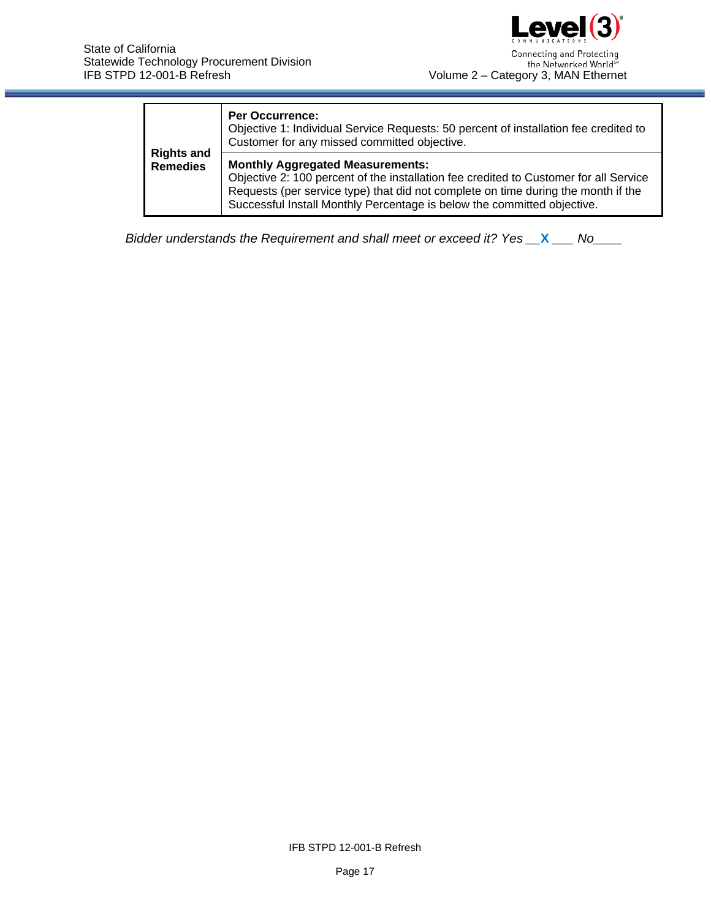

|                                      | <b>Per Occurrence:</b><br>Objective 1: Individual Service Requests: 50 percent of installation fee credited to<br>Customer for any missed committed objective.                                                                                                                                   |
|--------------------------------------|--------------------------------------------------------------------------------------------------------------------------------------------------------------------------------------------------------------------------------------------------------------------------------------------------|
| <b>Rights and</b><br><b>Remedies</b> | <b>Monthly Aggregated Measurements:</b><br>Objective 2: 100 percent of the installation fee credited to Customer for all Service<br>Requests (per service type) that did not complete on time during the month if the<br>Successful Install Monthly Percentage is below the committed objective. |

IFB STPD 12-001-B Refresh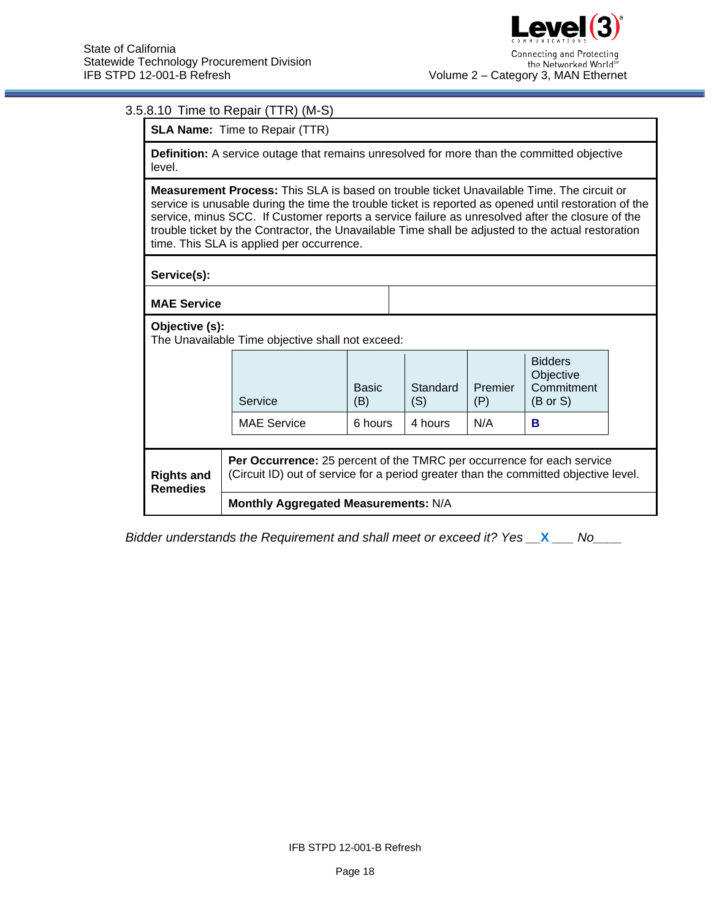# 3.5.8.10 Time to Repair (TTR) (M-S)

**SLA Name:** Time to Repair (TTR)

**Definition:** A service outage that remains unresolved for more than the committed objective level.

**Measurement Process:** This SLA is based on trouble ticket Unavailable Time. The circuit or service is unusable during the time the trouble ticket is reported as opened until restoration of the service, minus SCC. If Customer reports a service failure as unresolved after the closure of the trouble ticket by the Contractor, the Unavailable Time shall be adjusted to the actual restoration time. This SLA is applied per occurrence.

**Service(s):**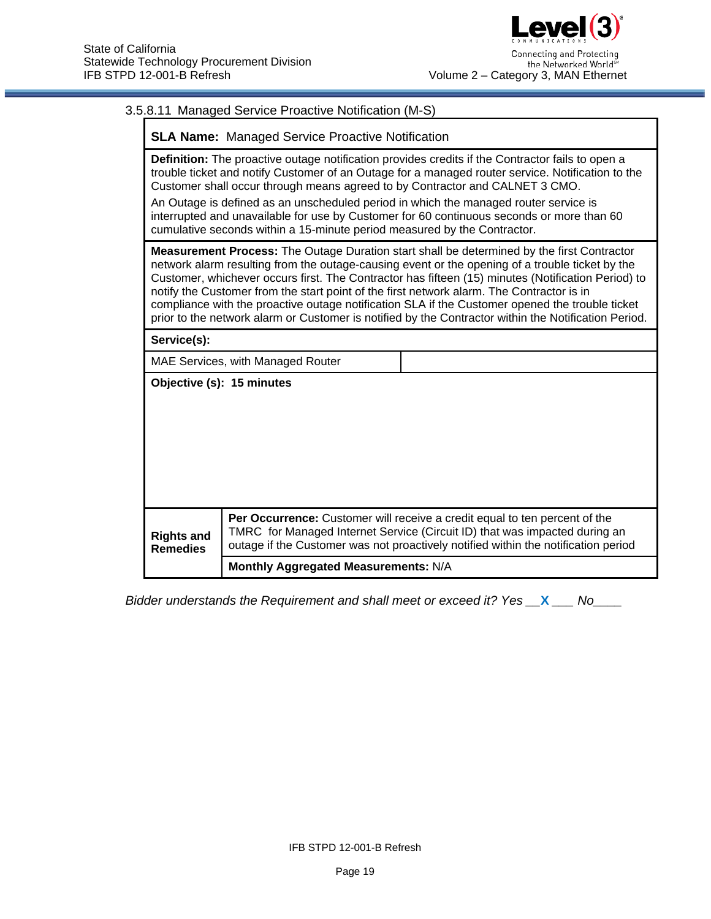Г

# 3.5.8.11 Managed Service Proactive Notification (M-S)

| <b>SLA Name:</b> Managed Service Proactive Notification                                                                                                                                                                                                                                                                                                                                                                                                                                                                                                |                                                                                                                                                                                                                                                |                                                                                                                                                                                                                                                                                                                                                                                                                                                                                                                                                                                                                    |  |  |
|--------------------------------------------------------------------------------------------------------------------------------------------------------------------------------------------------------------------------------------------------------------------------------------------------------------------------------------------------------------------------------------------------------------------------------------------------------------------------------------------------------------------------------------------------------|------------------------------------------------------------------------------------------------------------------------------------------------------------------------------------------------------------------------------------------------|--------------------------------------------------------------------------------------------------------------------------------------------------------------------------------------------------------------------------------------------------------------------------------------------------------------------------------------------------------------------------------------------------------------------------------------------------------------------------------------------------------------------------------------------------------------------------------------------------------------------|--|--|
| Definition: The proactive outage notification provides credits if the Contractor fails to open a<br>trouble ticket and notify Customer of an Outage for a managed router service. Notification to the<br>Customer shall occur through means agreed to by Contractor and CALNET 3 CMO.<br>An Outage is defined as an unscheduled period in which the managed router service is<br>interrupted and unavailable for use by Customer for 60 continuous seconds or more than 60<br>cumulative seconds within a 15-minute period measured by the Contractor. |                                                                                                                                                                                                                                                |                                                                                                                                                                                                                                                                                                                                                                                                                                                                                                                                                                                                                    |  |  |
|                                                                                                                                                                                                                                                                                                                                                                                                                                                                                                                                                        |                                                                                                                                                                                                                                                | <b>Measurement Process:</b> The Outage Duration start shall be determined by the first Contractor<br>network alarm resulting from the outage-causing event or the opening of a trouble ticket by the<br>Customer, whichever occurs first. The Contractor has fifteen (15) minutes (Notification Period) to<br>notify the Customer from the start point of the first network alarm. The Contractor is in<br>compliance with the proactive outage notification SLA if the Customer opened the trouble ticket<br>prior to the network alarm or Customer is notified by the Contractor within the Notification Period. |  |  |
| Service(s):                                                                                                                                                                                                                                                                                                                                                                                                                                                                                                                                            |                                                                                                                                                                                                                                                |                                                                                                                                                                                                                                                                                                                                                                                                                                                                                                                                                                                                                    |  |  |
| MAE Services, with Managed Router                                                                                                                                                                                                                                                                                                                                                                                                                                                                                                                      |                                                                                                                                                                                                                                                |                                                                                                                                                                                                                                                                                                                                                                                                                                                                                                                                                                                                                    |  |  |
| Objective (s): 15 minutes                                                                                                                                                                                                                                                                                                                                                                                                                                                                                                                              |                                                                                                                                                                                                                                                |                                                                                                                                                                                                                                                                                                                                                                                                                                                                                                                                                                                                                    |  |  |
| <b>Rights and</b><br><b>Remedies</b>                                                                                                                                                                                                                                                                                                                                                                                                                                                                                                                   | Per Occurrence: Customer will receive a credit equal to ten percent of the<br>TMRC for Managed Internet Service (Circuit ID) that was impacted during an<br>outage if the Customer was not proactively notified within the notification period |                                                                                                                                                                                                                                                                                                                                                                                                                                                                                                                                                                                                                    |  |  |
|                                                                                                                                                                                                                                                                                                                                                                                                                                                                                                                                                        | Monthly Aggregated Measurements: N/A                                                                                                                                                                                                           |                                                                                                                                                                                                                                                                                                                                                                                                                                                                                                                                                                                                                    |  |  |